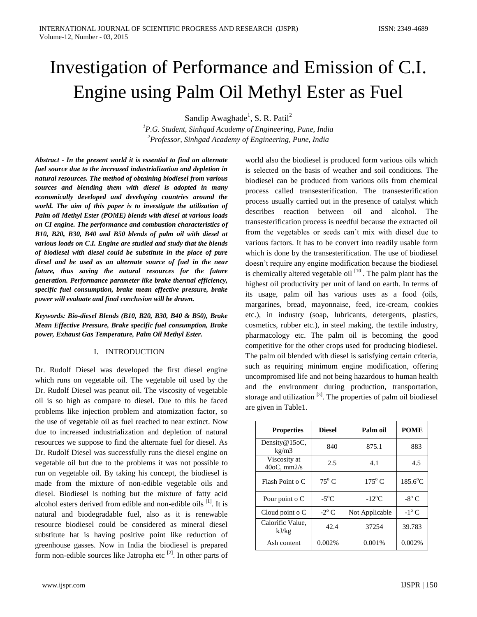# Investigation of Performance and Emission of C.I. Engine using Palm Oil Methyl Ester as Fuel

Sandip Awaghade<sup>1</sup>, S. R. Patil<sup>2</sup>

*<sup>1</sup>P.G. Student, Sinhgad Academy of Engineering, Pune, India <sup>2</sup>Professor, Sinhgad Academy of Engineering, Pune, India*

*Abstract - In the present world it is essential to find an alternate fuel source due to the increased industrialization and depletion in natural resources. The method of obtaining biodiesel from various sources and blending them with diesel is adopted in many economically developed and developing countries around the world. The aim of this paper is to investigate the utilization of Palm oil Methyl Ester (POME) blends with diesel at various loads on CI engine. The performance and combustion characteristics of B10, B20, B30, B40 and B50 blends of palm oil with diesel at various loads on C.I. Engine are studied and study that the blends of biodiesel with diesel could be substitute in the place of pure diesel and be used as an alternate source of fuel in the near future, thus saving the natural resources for the future generation. Performance parameter like brake thermal efficiency, specific fuel consumption, brake mean effective pressure, brake power will evaluate and final conclusion will be drawn.*

*Keywords: Bio-diesel Blends (B10, B20, B30, B40 & B50), Brake Mean Effective Pressure, Brake specific fuel consumption, Brake power, Exhaust Gas Temperature, Palm Oil Methyl Ester.*

# I. INTRODUCTION

Dr. Rudolf Diesel was developed the first diesel engine which runs on vegetable oil. The vegetable oil used by the Dr. Rudolf Diesel was peanut oil. The viscosity of vegetable oil is so high as compare to diesel. Due to this he faced problems like injection problem and atomization factor, so the use of vegetable oil as fuel reached to near extinct. Now due to increased industrialization and depletion of natural resources we suppose to find the alternate fuel for diesel. As Dr. Rudolf Diesel was successfully runs the diesel engine on vegetable oil but due to the problems it was not possible to run on vegetable oil. By taking his concept, the biodiesel is made from the mixture of non-edible vegetable oils and diesel. Biodiesel is nothing but the mixture of fatty acid alcohol esters derived from edible and non-edible oils  $^{[1]}$ . It is natural and biodegradable fuel, also as it is renewable resource biodiesel could be considered as mineral diesel substitute hat is having positive point like reduction of greenhouse gasses. Now in India the biodiesel is prepared form non-edible sources like Jatropha etc  $[2]$ . In other parts of world also the biodiesel is produced form various oils which is selected on the basis of weather and soil conditions. The biodiesel can be produced from various oils from chemical process called transesterification. The transesterification process usually carried out in the presence of catalyst which describes reaction between oil and alcohol. The transesterification process is needful because the extracted oil from the vegetables or seeds can't mix with diesel due to various factors. It has to be convert into readily usable form which is done by the transesterification. The use of biodiesel doesn't require any engine modification because the biodiesel is chemically altered vegetable oil  $[10]$ . The palm plant has the highest oil productivity per unit of land on earth. In terms of its usage, palm oil has various uses as a food (oils, margarines, bread, mayonnaise, feed, ice-cream, cookies etc.), in industry (soap, lubricants, detergents, plastics, cosmetics, rubber etc.), in steel making, the textile industry, pharmacology etc. The palm oil is becoming the good competitive for the other crops used for producing biodiesel. The palm oil blended with diesel is satisfying certain criteria, such as requiring minimum engine modification, offering uncompromised life and not being hazardous to human health and the environment during production, transportation, storage and utilization  $[3]$ . The properties of palm oil biodiesel are given in Table1.

| <b>Properties</b>                 | <b>Diesel</b>       | Palm oil             | <b>POME</b>       |
|-----------------------------------|---------------------|----------------------|-------------------|
| Density@15oC,<br>kg/m3            | 840                 | 875.1                | 883               |
| Viscosity at<br>$40$ oC, mm $2/s$ | 2.5                 | 4.1                  | 4.5               |
| Flash Point o C                   | $75^{\circ}$ C      | $175^{\circ}$ C      | $185.6^{\circ}$ C |
| Pour point o C                    | $-5^{\circ}$ C      | $-12$ <sup>o</sup> C | $-8^\circ$ C      |
| Cloud point $\circ$ C             | $-2$ <sup>o</sup> C | Not Applicable       | $-1^\circ$ C      |
| Calorific Value,<br>kJ/kg         | 42.4                | 37254                | 39.783            |
| Ash content                       | 0.002%              | 0.001%               | 0.002%            |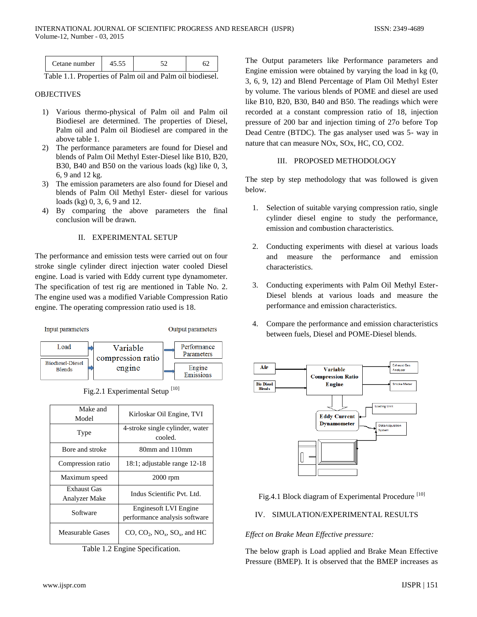| 'etane number | _ _ _<br>$-$<br>$\sim$ | $-$<br>__ | $\sim$ $\sim$<br>$ -$ | $\sim$ $\sim$<br>. |
|---------------|------------------------|-----------|-----------------------|--------------------|
|               |                        |           |                       |                    |

Table 1.1. Properties of Palm oil and Palm oil biodiesel.

### **OBJECTIVES**

- 1) Various thermo-physical of Palm oil and Palm oil Biodiesel are determined. The properties of Diesel, Palm oil and Palm oil Biodiesel are compared in the above table 1.
- 2) The performance parameters are found for Diesel and blends of Palm Oil Methyl Ester-Diesel like B10, B20, B30, B40 and B50 on the various loads (kg) like 0, 3, 6, 9 and 12 kg.
- 3) The emission parameters are also found for Diesel and blends of Palm Oil Methyl Ester- diesel for various loads (kg) 0, 3, 6, 9 and 12.
- 4) By comparing the above parameters the final conclusion will be drawn.

# II. EXPERIMENTAL SETUP

The performance and emission tests were carried out on four stroke single cylinder direct injection water cooled Diesel engine. Load is varied with Eddy current type dynamometer. The specification of test rig are mentioned in Table No. 2. The engine used was a modified Variable Compression Ratio engine. The operating compression ratio used is 18.



Fig.2.1 Experimental Setup<sup>[10]</sup>

| Make and<br>Model            | Kirloskar Oil Engine, TVI                              |
|------------------------------|--------------------------------------------------------|
| Type                         | 4-stroke single cylinder, water<br>cooled.             |
| Bore and stroke              | 80mm and 110mm                                         |
| Compression ratio            | 18:1; adjustable range 12-18                           |
| Maximum speed                | 2000 rpm                                               |
| Exhaust Gas<br>Analyzer Make | Indus Scientific Pvt. Ltd.                             |
| Software                     | Engines of LVI Engine<br>performance analysis software |
| Measurable Gases             | $CO$ , $CO2$ , $NOx$ , $SOx$ , and HC                  |

Table 1.2 Engine Specification.

The Output parameters like Performance parameters and Engine emission were obtained by varying the load in kg (0, 3, 6, 9, 12) and Blend Percentage of Plam Oil Methyl Ester by volume. The various blends of POME and diesel are used like B10, B20, B30, B40 and B50. The readings which were recorded at a constant compression ratio of 18, injection pressure of 200 bar and injection timing of 27o before Top Dead Centre (BTDC). The gas analyser used was 5- way in nature that can measure NOx, SOx, HC, CO, CO2.

# III. PROPOSED METHODOLOGY

The step by step methodology that was followed is given below.

- 1. Selection of suitable varying compression ratio, single cylinder diesel engine to study the performance, emission and combustion characteristics.
- 2. Conducting experiments with diesel at various loads and measure the performance and emission characteristics.
- 3. Conducting experiments with Palm Oil Methyl Ester-Diesel blends at various loads and measure the performance and emission characteristics.
- 4. Compare the performance and emission characteristics between fuels, Diesel and POME-Diesel blends.



Fig.4.1 Block diagram of Experimental Procedure<sup>[10]</sup>

# IV. SIMULATION/EXPERIMENTAL RESULTS

# *Effect on Brake Mean Effective pressure:*

The below graph is Load applied and Brake Mean Effective Pressure (BMEP). It is observed that the BMEP increases as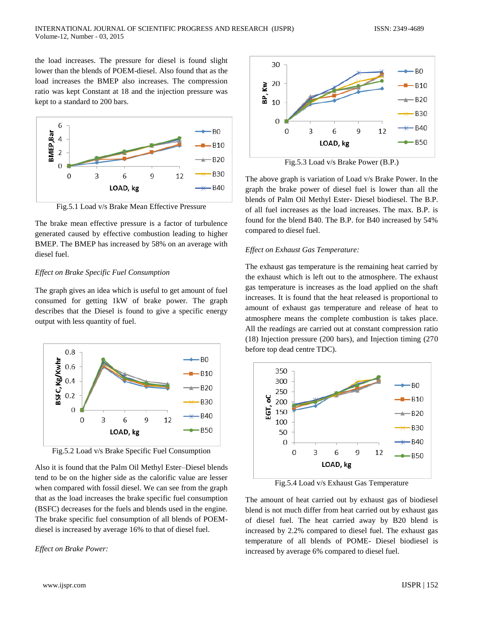the load increases. The pressure for diesel is found slight lower than the blends of POEM-diesel. Also found that as the load increases the BMEP also increases. The compression ratio was kept Constant at 18 and the injection pressure was kept to a standard to 200 bars.



Fig.5.1 Load v/s Brake Mean Effective Pressure

The brake mean effective pressure is a factor of turbulence generated caused by effective combustion leading to higher BMEP. The BMEP has increased by 58% on an average with diesel fuel.

#### *Effect on Brake Specific Fuel Consumption*

The graph gives an idea which is useful to get amount of fuel consumed for getting 1kW of brake power. The graph describes that the Diesel is found to give a specific energy output with less quantity of fuel.



Also it is found that the Palm Oil Methyl Ester–Diesel blends tend to be on the higher side as the calorific value are lesser when compared with fossil diesel. We can see from the graph that as the load increases the brake specific fuel consumption (BSFC) decreases for the fuels and blends used in the engine. The brake specific fuel consumption of all blends of POEMdiesel is increased by average 16% to that of diesel fuel.

#### *Effect on Brake Power:*



Fig.5.3 Load v/s Brake Power (B.P.)

The above graph is variation of Load v/s Brake Power. In the graph the brake power of diesel fuel is lower than all the blends of Palm Oil Methyl Ester- Diesel biodiesel. The B.P. of all fuel increases as the load increases. The max. B.P. is found for the blend B40. The B.P. for B40 increased by 54% compared to diesel fuel.

#### *Effect on Exhaust Gas Temperature:*

The exhaust gas temperature is the remaining heat carried by the exhaust which is left out to the atmosphere. The exhaust gas temperature is increases as the load applied on the shaft increases. It is found that the heat released is proportional to amount of exhaust gas temperature and release of heat to atmosphere means the complete combustion is takes place. All the readings are carried out at constant compression ratio (18) Injection pressure (200 bars), and Injection timing (270 before top dead centre TDC).



Fig.5.4 Load v/s Exhaust Gas Temperature

The amount of heat carried out by exhaust gas of biodiesel blend is not much differ from heat carried out by exhaust gas of diesel fuel. The heat carried away by B20 blend is increased by 2.2% compared to diesel fuel. The exhaust gas temperature of all blends of POME- Diesel biodiesel is increased by average 6% compared to diesel fuel.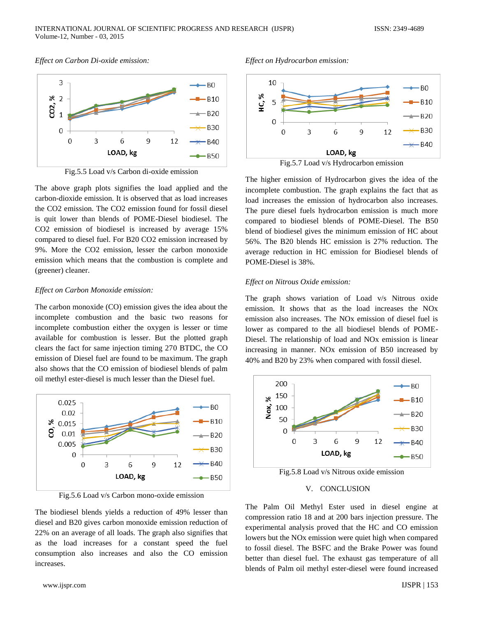#### *Effect on Carbon Di-oxide emission:*



Fig.5.5 Load v/s Carbon di-oxide emission

The above graph plots signifies the load applied and the carbon-dioxide emission. It is observed that as load increases the CO2 emission. The CO2 emission found for fossil diesel is quit lower than blends of POME-Diesel biodiesel. The CO2 emission of biodiesel is increased by average 15% compared to diesel fuel. For B20 CO2 emission increased by 9%. More the CO2 emission, lesser the carbon monoxide emission which means that the combustion is complete and (greener) cleaner.

#### *Effect on Carbon Monoxide emission:*

The carbon monoxide (CO) emission gives the idea about the incomplete combustion and the basic two reasons for incomplete combustion either the oxygen is lesser or time available for combustion is lesser. But the plotted graph clears the fact for same injection timing 270 BTDC, the CO emission of Diesel fuel are found to be maximum. The graph also shows that the CO emission of biodiesel blends of palm oil methyl ester-diesel is much lesser than the Diesel fuel.



Fig.5.6 Load v/s Carbon mono-oxide emission

The biodiesel blends yields a reduction of 49% lesser than diesel and B20 gives carbon monoxide emission reduction of 22% on an average of all loads. The graph also signifies that as the load increases for a constant speed the fuel consumption also increases and also the CO emission increases.

#### *Effect on Hydrocarbon emission:*



The higher emission of Hydrocarbon gives the idea of the incomplete combustion. The graph explains the fact that as load increases the emission of hydrocarbon also increases. The pure diesel fuels hydrocarbon emission is much more compared to biodiesel blends of POME-Diesel. The B50 blend of biodiesel gives the minimum emission of HC about 56%. The B20 blends HC emission is 27% reduction. The average reduction in HC emission for Biodiesel blends of POME-Diesel is 38%.

#### *Effect on Nitrous Oxide emission:*

The graph shows variation of Load v/s Nitrous oxide emission. It shows that as the load increases the NOx emission also increases. The NOx emission of diesel fuel is lower as compared to the all biodiesel blends of POME-Diesel. The relationship of load and NOx emission is linear increasing in manner. NOx emission of B50 increased by 40% and B20 by 23% when compared with fossil diesel.



Fig.5.8 Load v/s Nitrous oxide emission

#### V. CONCLUSION

The Palm Oil Methyl Ester used in diesel engine at compression ratio 18 and at 200 bars injection pressure. The experimental analysis proved that the HC and CO emission lowers but the NOx emission were quiet high when compared to fossil diesel. The BSFC and the Brake Power was found better than diesel fuel. The exhaust gas temperature of all blends of Palm oil methyl ester-diesel were found increased